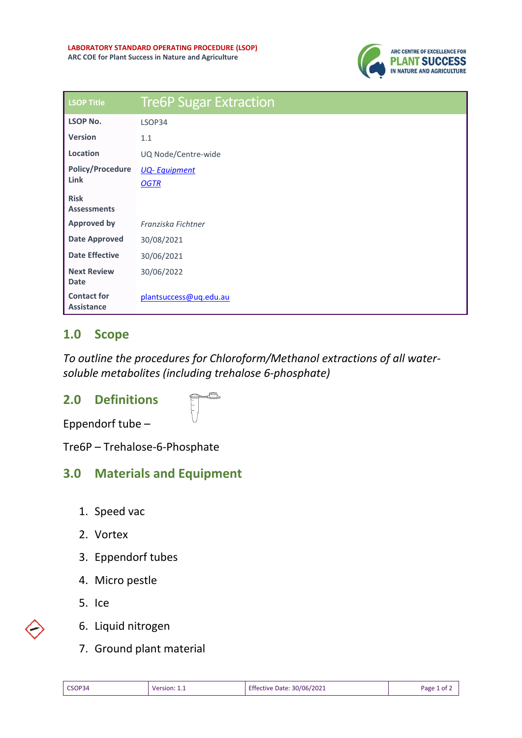

| <b>LSOP Title</b>                       | <b>Tre6P Sugar Extraction</b> |
|-----------------------------------------|-------------------------------|
| <b>LSOP No.</b>                         | LSOP34                        |
| <b>Version</b>                          | 1.1                           |
| Location                                | UQ Node/Centre-wide           |
| <b>Policy/Procedure</b><br>Link         | <b>UQ-Equipment</b>           |
|                                         | <b>OGTR</b>                   |
| <b>Risk</b><br><b>Assessments</b>       |                               |
|                                         |                               |
| <b>Approved by</b>                      | Franziska Fichtner            |
| <b>Date Approved</b>                    | 30/08/2021                    |
| <b>Date Effective</b>                   | 30/06/2021                    |
| <b>Next Review</b>                      | 30/06/2022                    |
| <b>Date</b>                             |                               |
| <b>Contact for</b><br><b>Assistance</b> | plantsuccess@uq.edu.au        |

## **1.0 Scope**

*To outline the procedures for Chloroform/Methanol extractions of all watersoluble metabolites (including trehalose 6-phosphate)*

## **2.0 Definitions**

Eppendorf tube –

Tre6P – Trehalose-6-Phosphate

## **3.0 Materials and Equipment**

- 1. Speed vac
- 2. Vortex
- 3. Eppendorf tubes
- 4. Micro pestle
- 5. Ice
- 6. Liquid nitrogen
- 7. Ground plant material

| CSOP34 | Version: 1.1 | Effective Date: 30/06/2021 | Page 1 of $\angle$ |
|--------|--------------|----------------------------|--------------------|
|        |              |                            |                    |